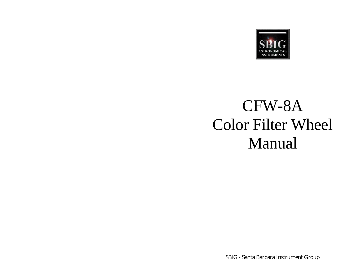

# CFW-8A Color Filter Wheel Manual

SBIG - Santa Barbara Instrument Group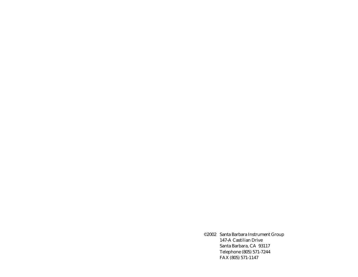©2002 Santa Barbara Instrument Group 147-A Castilian Drive Santa Barbara, CA 93117 Telephone (805) 571-7244 FAX (805) 571-1147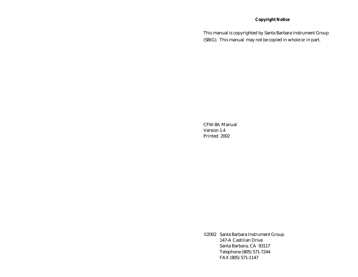#### **Copyright Notice**

This manual is copyrighted by Santa Barbara Instrument Group (SBIG). This manual may not be copied in whole or in part.

CFW-8A Manual Version 1.4 Printed 2002

©2002 Santa Barbara Instrument Group 147-A Castilian Drive Santa Barbara, CA 93117 Telephone (805) 571-7244 FAX (805) 571-1147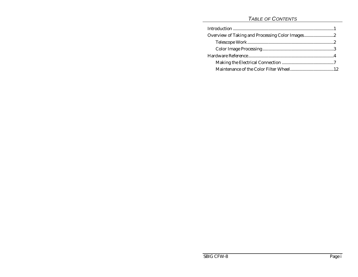### *TABLE OF CONTENTS*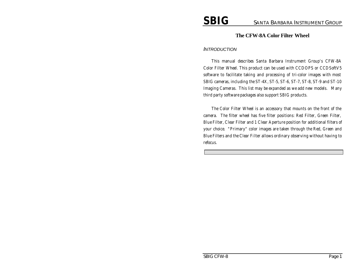#### **The CFW-8A Color Filter Wheel**

#### *INTRODUCTION*

*This manual describes Santa Barbara Instrument Group's CFW-8A Color Filter Wheel. This product can be used with CCDOPS or CCDSoftV5 software to facilitate taking and processing of tri-color images with most SBIG cameras, including the ST-4X, ST-5, ST-6, ST-7, ST-8, ST-9 and ST-10 Imaging Cameras. This list may be expanded as we add new models. Many third party software packages also support SBIG products.*

*The Color Filter Wheel is an accessory that mounts on the front of the camera. The filter wheel has five filter positions: Red Filter, Green Filter, Blue Filter, Clear Filter and 1 Clear Aperture position for additional filters of your choice. "Primary" color images are taken through the Red, Green and Blue Filters and the Clear Filter allows ordinary observing without having to refocus.*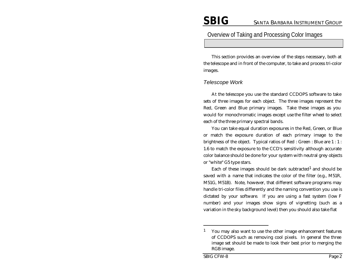### Overview of Taking and Processing Color Images

This section provides an overview of the steps necessary, both at the telescope and in front of the computer, to take and process tri-color images.

### *Telescope Work*

At the telescope you use the standard CCDOPS software to take sets of three images for each object. The three images represent the Red, Green and Blue primary images. Take these images as you would for monochromatic images except use the filter wheel to select each of the three primary spectral bands.

You can take equal duration exposures in the Red, Green, or Blue or match the exposure duration of each primary image to the brightness of the object. Typical ratios of Red : Green : Blue are 1 : 1 : 1.6 to match the exposure to the CCD's sensitivity although accurate color balance should be done for your system with neutral grey objects or "white" G5 type stars.

Each of these images should be dark subtracted<sup>1</sup> and should be saved with a name that indicates the color of the filter (e.g., M51R, M51G, M51B). Note, however, that different software programs may handle tri-color files differently and the naming convention you use is dictated by your software. If you are using a fast system (low F number) and your images show signs of vignetting (such as a variation in the sky background level) then you should also take flat

l

<sup>1</sup> You may also want to use the other image enhancement features of CCDOPS such as removing cool pixels. In general the three image set should be made to look their best prior to merging the RGB image.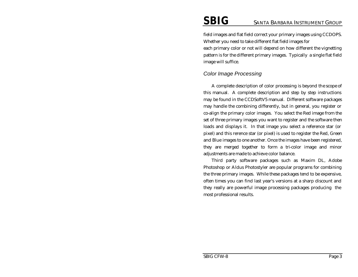field images and flat field correct your primary images using CCDOPS. Whether you need to take different flat field images for

each primary color or not will depend on how different the vignetting pattern is for the different primary images. Typically a single flat field image will suffice.

### *Color Image Processing*

A complete description of color processing is beyond the scope of this manual. A complete description and step by step instructions may be found in the CCDSoftV5 manual. Different software packages may handle the combining differently, but in general, you register or co-align the primary color images. You select the Red image from the set of three primary images you want to register and the software then loads and displays it. In that image you select a reference star (or pixel) and this rerence star (or pixel) is used to register the Red, Green and Blue images to one another. Once the images have been registered, they are merged together to form a tri-color image and minor adjustments are made to achieve color balance.

Third party software packages such as Maxim DL, Adobe Photoshop or Aldus Photostyler are popular programs for combining the three primary images. While these packages tend to be expensive, often times you can find last year's versions at a sharp discount and they really are powerful image processing packages producing the most professional results.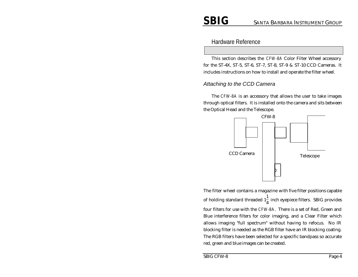Hardware Reference

This section describes the *CFW-8A* Color Filter Wheel accessory for the ST-4X, ST-5, ST-6, ST-7, ST-8, ST-9 & ST-10 CCD Cameras. It includes instructions on how to install and operate the filter wheel.

### *Attaching to the CCD Camera*

The *CFW-8A* is an accessory that allows the user to take images through optical filters. It is installed onto the camera and sits between the Optical Head and the Telescope.



The filter wheel contains a magazine with five filter positions capable of holding standard threaded  $1\frac{1}{4}$  $\frac{1}{4}$  inch eyepiece filters. SBIG provides four filters for use with the *CFW-8A*. There is a set of Red, Green and Blue interference filters for color imaging, and a Clear Filter which allows imaging "full spectrum" without having to refocus. No IR blocking filter is needed as the RGB filter have an IR blocking coating. The RGB filters have been selected for a specific bandpass so accurate red, green and blue images can be created.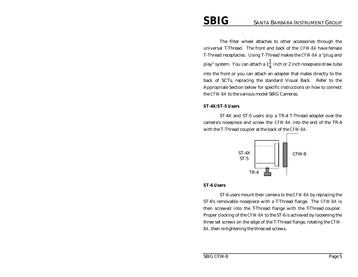The filter wheel attaches to other accessories through the universal T-Thread. The front and back of the *CFW-8A* have female T-Thread receptacles. Using T-Thread makes the *CFW-8A* a "plug and play" system. You can attach a 1 $\frac{1}{4}$  $\frac{1}{4}$  inch or 2 inch nosepiece draw tube into the front or you can attach an adapter that mates directly to the back of SCTs, replacing the standard Visual Back. Refer to the Appropriate Section below for specific instructions on how to connect the *CFW-8A* to the various model SBIG Cameras.

#### **ST-4X/ST-5 Users**

ST-4X and ST-5 users slip a TR-4 T-Thread adapter over the camera's nosepiece and screw the *CFW-8A* into the end of the TR-4 with the T-Thread coupler at the back of the *CFW-8A*.



#### **ST-6 Users**

ST-6 users mount their camera to the *CFW-8A* by replacing the ST-6's removable nosepiece with a T-Thread flange. The *CFW-8A* is then screwed into the T-Thread flange with the T-Thread coupler. Proper clocking of the *CFW-8A* to the ST-6 is achieved by loosening the three set screws on the edge of the T-Thread flange, rotating the *CFW-8A*, then re-tightening the three set screws.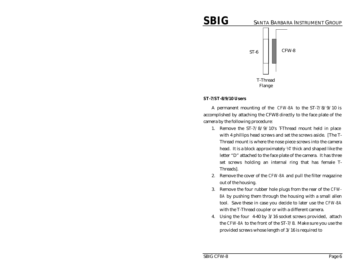

#### **ST-7/ST-8/9/10 Users**

A permanent mounting of the *CFW-8A* to the ST-7/8/9/10 is accomplished by attaching the CFW8 directly to the face plate of the camera by the following procedure:

- 1. Remove the  $ST-7/8/9/10$ 's TThread mount held in place with 4 phillips head screws and set the screws aside. [The T-Thread mount is where the nose piece screws into the camera head. It is a block approximately ¼" thick and shaped like the letter "D" attached to the face plate of the camera. It has three set screws holding an internal ring that has female T-Threads].
- 2. Remove the cover of the *CFW-8A* and pull the filter magazine out of the housing.
- 3. Remove the four rubber hole plugs from the rear of the *CFW-8A* by pushing them through the housing with a small allen tool. Save these in case you decide to later use the *CFW-8A* with the T-Thread coupler or with a different camera.
- 4. Using the four 4-40 by 3/16 socket screws provided, attach the *CFW-8A* to the front of the ST-7/8. Make sure you use the provided screws whose length of 3/16 is required to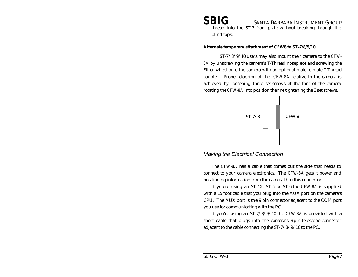thread into the ST-7 front plate without breaking through the blind taps.

#### **Alternate temporary attachment of CFW8 to ST-7/8/9/10**

ST-7/8/9/10 users may also mount their camera to the *CFW-8A* by unscrewing the camera's T-Thread nosepiece and screwing the Filter wheel onto the camera with an optional male-to-male T-Thread coupler. Proper clocking of the *CFW-8A* relative to the camera is achieved by loosening three set-screws at the font of the camera rotating the *CFW-8A* into position then re tightening the 3 set screws.



#### *Making the Electrical Connection*

The *CFW-8A* has a cable that comes out the side that needs to connect to your camera electronics. The *CFW-8A* gets it power and positioning information from the camera thru this connector.

If you're using an ST-4X, ST-5 or ST-6 the *CFW-8A* is supplied with a 15 foot cable that you plug into the AUX port on the camera's CPU. The AUX port is the 9 pin connector adjacent to the COM port you use for communicating with the PC.

If you're using an ST-7/8/9/10 the *CFW-8A* is provided with a short cable that plugs into the camera's 9-pin telescope connector adjacent to the cable connecting the ST-7/8/9/10 to the PC.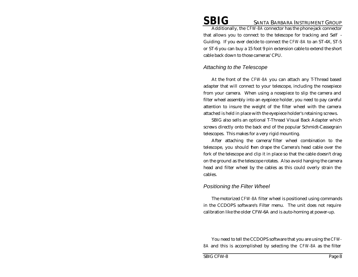Additionally, the *CFW-8A* connector has the phone-jack connector that allows you to connect to the telescope for tracking and Self - Guiding. If you ever decide to connect the *CFW-8A* to an ST-4X, ST-5 or ST-6 you can buy a 15 foot 9 pin extension cable to extend the short cable back down to those cameras' CPU.

#### *Attaching to the Telescope*

At the front of the *CFW-8A* you can attach any T-Thread based adapter that will connect to your telescope, including the nosepiece from your camera. When using a nosepiece to slip the camera and filter wheel assembly into an eyepiece holder, you need to pay careful attention to insure the weight of the filter wheel with the camera attached is held in place with the eyepiece holder's retaining screws.

SBIG also sells an optional T-Thread Visual Back Adapter which screws directly onto the back end of the popular Schmidt-Cassegrain telescopes. This makes for a very rigid mounting.

After attaching the camera/filter wheel combination to the telescope, you should then drape the Camera's head cable over the fork of the telescope and clip it in place so that the cable doesn't drag on the ground as the telescope rotates. Also avoid hanging the camera head and filter wheel by the cables as this could overly strain the cables.

### *Positioning the Filter Wheel*

The motorized *CFW-8A* filter wheel is positioned using commands in the CCDOPS software's Filter menu. The unit does not require calibration like the older CFW-6A and is auto-homing at power-up.

You need to tell the CCDOPS software that you are using the *CFW-8A* and this is accomplished by selecting the *CFW-8A* as the filter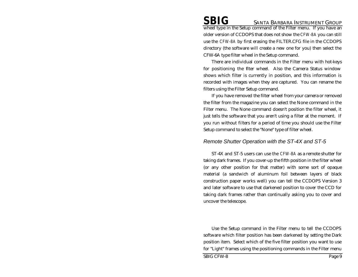wheel type in the Setup command of the Filter menu. If you have an older version of CCDOPS that does not show the *CFW-8A* you can still use the *CFW-8A* by first erasing the FILTER.CFG file in the CCDOPS directory (the software will create a new one for you) then select the CFW-6A type filter wheel in the Setup command.

There are individual commands in the Filter menu with hot-keys for positioning the filter wheel. Also the Camera Status window shows which filter is currently in position, and this information is recorded with images when they are captured. You can rename the filters using the Filter Setup command.

If you have removed the filter wheel from your camera or removed the filter from the magazine you can select the None command in the Filter menu. The None command doesn't position the filter wheel, it just tells the software that you aren't using a filter at the moment. If you run without filters for a period of time you should use the Filter Setup command to select the "None" type of filter wheel.

#### *Remote Shutter Operation with the ST-4X and ST-5*

ST-4X and ST-5 users can use the *CFW-8A* as a remote shutter for taking dark frames. If you cover-up the fifth position in the filter wheel (or any other position for that matter) with some sort of opaque material (a sandwich of aluminum foil between layers of black construction paper works well) you can tell the CCDOPS Version 3 and later software to use that darkened position to cover the CCD for taking dark frames rather than continually asking you to cover and uncover the telescope.

Use the Setup command in the Filter menu to tell the CCDOPS software which filter position has been darkened by setting the Dark position item. Select which of the five filter position you want to use for "Light" frames using the positioning commands in the Filter menu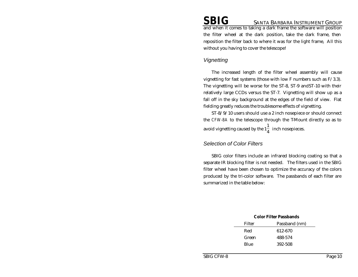and when it comes to taking a dark frame the software will position the filter wheel at the dark position, take the dark frame, then reposition the filter back to where it was for the light frame, All this without you having to cover the telescope!

### *Vignetting*

The increased length of the filter wheel assembly will cause vignetting for fast systems (those with low F numbers such as F/3.3). The vignetting will be worse for the ST-8, ST-9 andST-10 with their relatively large CCDs versus the ST-7. Vignetting will show up as a fall off in the sky background at the edges of the field of view. Flat fielding greatly reduces the troublesome effects of vignetting.

ST-8/9/10 users should use a 2 inch nosepiece or should connect the *CFW-8A* to the telescope through the T-Mount directly so as to avoid vignetting caused by the  $1\frac{1}{4}$  $\frac{1}{4}$  inch nosepieces.

### *Selection of Color Filters*

SBIG color filters include an infrared blocking coating so that a separate IR blocking filter is not needed. The filters used in the SBIG filter wheel have been chosen to optimize the accuracy of the colors produced by the tri-color software. The passbands of each filter are summarized in the table below:

| <b>Color Filter Passbands</b> |               |  |
|-------------------------------|---------------|--|
| Filter                        | Passband (nm) |  |
| Red                           | 612-670       |  |
| Green                         | 488-574       |  |
| Blue                          | 392-508       |  |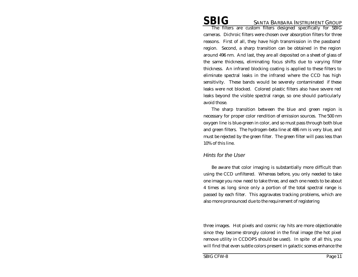The filters are custom filters designed specifically for SBIG cameras. Dichroic filters were chosen over absorption filters for three reasons. First of all, they have high transmission in the passband region. Second, a sharp transition can be obtained in the region around 496 nm. And last, they are all deposited on a sheet of glass of the same thickness, eliminating focus shifts due to varying filter thickness. An infrared blocking coating is applied to these filters to eliminate spectral leaks in the infrared where the CCD has high sensitivity. These bands would be severely contaminated if these leaks were not blocked. Colored plastic filters also have severe red leaks beyond the visible spectral range, so one should particularly avoid those.

The sharp transition between the blue and green region is necessary for proper color rendition of emission sources. The 500 nm oxygen line is blue-green in color, and so must pass through both blue and green filters. The hydrogen-beta line at 486 nm is very blue, and must be rejected by the green filter. The green filter will pass less than 10% of this line.

#### *Hints for the User*

Be aware that color imaging is substantially more difficult than using the CCD unfiltered. Whereas before, you only needed to take one image you now need to take three, and each one needs to be about 4 times as long since only a portion of the total spectral range is passed by each filter. This aggravates tracking problems, which are also more pronounced due to the requirement of registering

three images. Hot pixels and cosmic ray hits are more objectionable since they become strongly colored in the final image (the hot pixel remove utility in CCDOPS should be used). In spite of all this, you will find that even subtle colors present in galactic scenes enhance the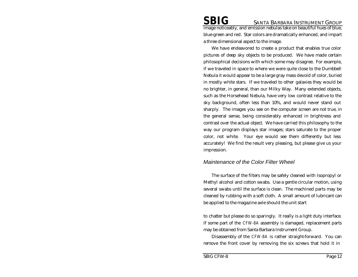image noticeably, and emission nebulas take on beautiful hues of blue, blue-green and red. Star colors are dramatically enhanced, and impart a three dimensional aspect to the image.

We have endeavored to create a product that enables true color pictures of deep sky objects to be produced. We have made certain philosophical decisions with which some may disagree. For example, if we traveled in space to where we were quite close to the Dumbbell Nebula it would appear to be a large gray mass devoid of color, buried in mostly white stars. If we traveled to other galaxies they would be no brighter, in general, than our Milky Way. Many extended objects, such as the Horsehead Nebula, have very low contrast relative to the sky background, often less than 10%, and would never stand out sharply. The images you see on the computer screen are not true, in the general sense, being considerably enhanced in brightness and contrast over the actual object. We have carried this philosophy to the way our program displays star images; stars saturate to the proper color, not white. Your eye would see them differently but less accurately! We find the result very pleasing, but please give us your impression.

#### *Maintenance of the Color Filter Wheel*

The surface of the filters may be safely cleaned with Isopropyl or Methyl alcohol and cotton swabs. Use a gentle circular motion, using several swabs until the surface is clean. The machined parts may be cleaned by rubbing with a soft cloth. A small amount of lubricant can be applied to the magazine axle should the unit start

to chatter but please do so sparingly. It really is a light duty interface. If some part of the *CFW-8A* assembly is damaged, replacement parts may be obtained from Santa Barbara Instrument Group.

Disassembly of the *CFW-8A* is rather straight-forward. You can remove the front cover by removing the six screws that hold it in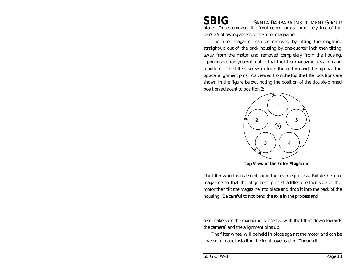place. Once removed, the front cover comes completely free of the *CFW-8A* allowing access to the filter magazine.

The filter magazine can be removed by lifting the magazine straight-up out of the back housing by one-quarter inch then tilting away from the motor and removed completely from the housing. Upon inspection you will notice that the filter magazine has a top and a bottom. The filters screw in from the bottom and the top has the optical alignment pins. As viewed from the top the filter positions are shown in the figure below, noting the position of the double-pinned position adjacent to position 3:



**Top View of the Filter Magazine**

The filter wheel is reassembled in the reverse process. Rotate the filter magazine so that the alignment pins straddle to either side of the motor then tilt the magazine into place and drop it into the back of the housing. Be careful to not bend the axle in the process and

also make sure the magazine is inserted with the filters down towards the camera) and the alignment pins up.

The filter wheel will be held in place against the motor and can be leveled to make installing the front cover easier. Though it